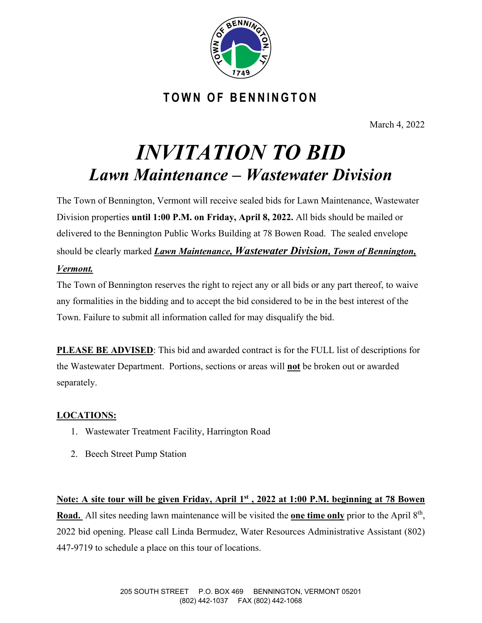

**TOWN OF BENNINGTON**

March 4, 2022

# *INVITATION TO BID Lawn Maintenance – Wastewater Division*

The Town of Bennington, Vermont will receive sealed bids for Lawn Maintenance, Wastewater Division properties **until 1:00 P.M. on Friday, April 8, 2022.** All bids should be mailed or delivered to the Bennington Public Works Building at 78 Bowen Road. The sealed envelope should be clearly marked *Lawn Maintenance, Wastewater Division, Town of Bennington, Vermont.*

The Town of Bennington reserves the right to reject any or all bids or any part thereof, to waive any formalities in the bidding and to accept the bid considered to be in the best interest of the Town. Failure to submit all information called for may disqualify the bid.

**PLEASE BE ADVISED**: This bid and awarded contract is for the FULL list of descriptions for the Wastewater Department. Portions, sections or areas will **not** be broken out or awarded separately.

#### **LOCATIONS:**

- 1. Wastewater Treatment Facility, Harrington Road
- 2. Beech Street Pump Station

**Note: A site tour will be given Friday, April 1st , 2022 at 1:00 P.M. beginning at 78 Bowen Road.** All sites needing lawn maintenance will be visited the **one time only** prior to the April 8th, 2022 bid opening. Please call Linda Bermudez, Water Resources Administrative Assistant (802) 447-9719 to schedule a place on this tour of locations.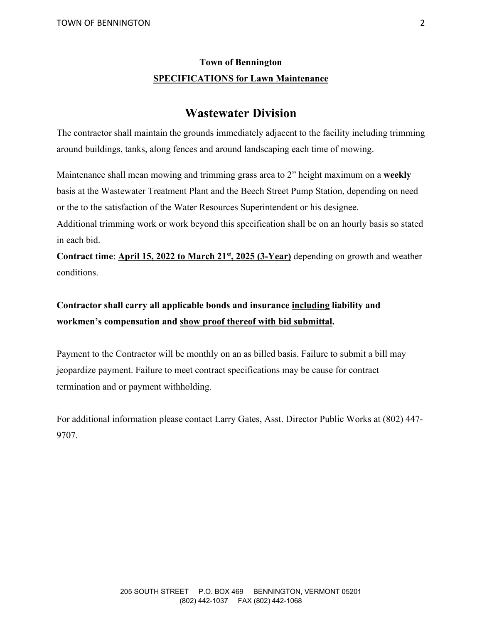#### **Town of Bennington SPECIFICATIONS for Lawn Maintenance**

#### **Wastewater Division**

The contractor shall maintain the grounds immediately adjacent to the facility including trimming around buildings, tanks, along fences and around landscaping each time of mowing.

Maintenance shall mean mowing and trimming grass area to 2" height maximum on a **weekly** basis at the Wastewater Treatment Plant and the Beech Street Pump Station, depending on need or the to the satisfaction of the Water Resources Superintendent or his designee.

Additional trimming work or work beyond this specification shall be on an hourly basis so stated in each bid.

**Contract time**: **April 15, 2022 to March 21st, 2025 (3-Year)** depending on growth and weather conditions.

#### **Contractor shall carry all applicable bonds and insurance including liability and workmen's compensation and show proof thereof with bid submittal.**

Payment to the Contractor will be monthly on an as billed basis. Failure to submit a bill may jeopardize payment. Failure to meet contract specifications may be cause for contract termination and or payment withholding.

For additional information please contact Larry Gates, Asst. Director Public Works at (802) 447- 9707.